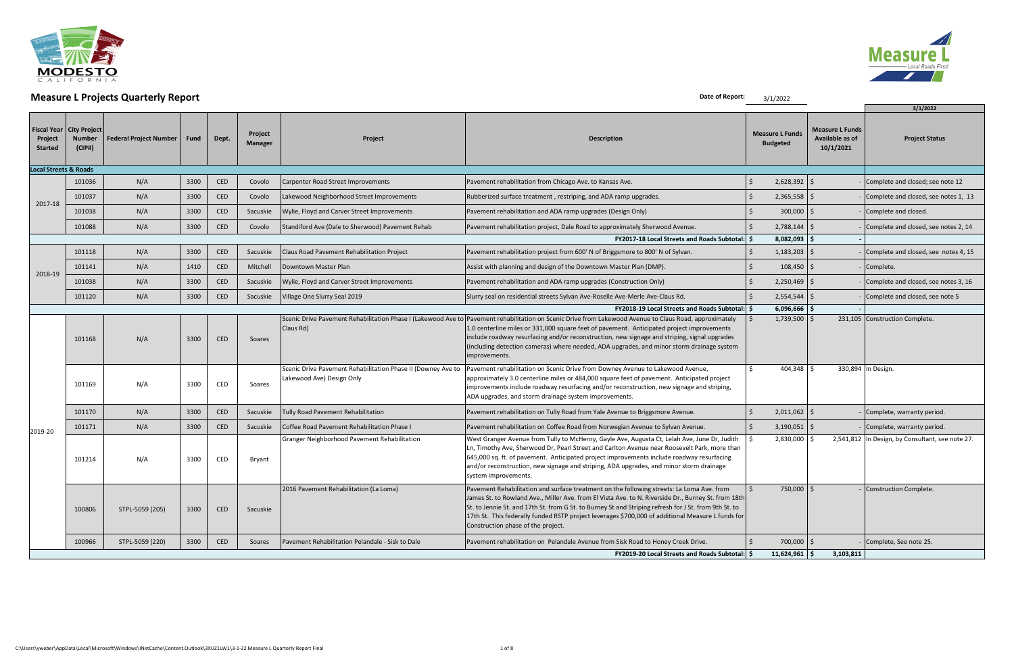

| <b>MCasare Errojects Quarterly Report</b><br><b>3/1/2022</b> |                                                              |                                 |      |            |                    |                                                                                           |                                                                                                                                                                                                                                                                                                                                                                                                                                                      |  |                                           |                                                        | 3/1/2022                                         |
|--------------------------------------------------------------|--------------------------------------------------------------|---------------------------------|------|------------|--------------------|-------------------------------------------------------------------------------------------|------------------------------------------------------------------------------------------------------------------------------------------------------------------------------------------------------------------------------------------------------------------------------------------------------------------------------------------------------------------------------------------------------------------------------------------------------|--|-------------------------------------------|--------------------------------------------------------|--------------------------------------------------|
| Project<br><b>Started</b>                                    | <b>Fiscal Year   City Project</b><br><b>Number</b><br>(CIP#) | <b>Federal Project Number  </b> | Fund | Dept.      | Project<br>Manager | Project                                                                                   | <b>Description</b>                                                                                                                                                                                                                                                                                                                                                                                                                                   |  | <b>Measure L Funds</b><br><b>Budgeted</b> | <b>Measure L Funds</b><br>Available as of<br>10/1/2021 | <b>Project Status</b>                            |
| <b>Local Streets &amp; Roads</b>                             |                                                              |                                 |      |            |                    |                                                                                           |                                                                                                                                                                                                                                                                                                                                                                                                                                                      |  |                                           |                                                        |                                                  |
|                                                              | 101036                                                       | N/A                             | 3300 | <b>CED</b> | Covolo             | Carpenter Road Street Improvements                                                        | Pavement rehabilitation from Chicago Ave. to Kansas Ave.                                                                                                                                                                                                                                                                                                                                                                                             |  | 2,628,392                                 |                                                        | Complete and closed; see note 12                 |
| 2017-18                                                      | 101037                                                       | N/A                             | 3300 | CED        | Covolo             | Lakewood Neighborhood Street Improvements                                                 | Rubberized surface treatment, restriping, and ADA ramp upgrades.                                                                                                                                                                                                                                                                                                                                                                                     |  | 2,365,558                                 |                                                        | Complete and closed, see notes 1, 13             |
|                                                              | 101038                                                       | N/A                             | 3300 | <b>CED</b> | Sacuskie           | Wylie, Floyd and Carver Street Improvements                                               | Pavement rehabilitation and ADA ramp upgrades (Design Only)                                                                                                                                                                                                                                                                                                                                                                                          |  | 300,000                                   |                                                        | Complete and closed.                             |
|                                                              | 101088                                                       | N/A                             | 3300 | CED        | Covolo             | Standiford Ave (Dale to Sherwood) Pavement Rehab                                          | Pavement rehabilitation project, Dale Road to approximately Sherwood Avenue.                                                                                                                                                                                                                                                                                                                                                                         |  | 2,788,144                                 |                                                        | Complete and closed, see notes 2, 14             |
|                                                              |                                                              |                                 |      |            |                    |                                                                                           | <b>FY2017-18 Local Streets and Roads Subtotal: \$</b>                                                                                                                                                                                                                                                                                                                                                                                                |  | 8,082,093                                 |                                                        |                                                  |
|                                                              | 101118                                                       | N/A                             | 3300 | CED        | Sacuskie           | Claus Road Pavement Rehabilitation Project                                                | Pavement rehabilitation project from 600' N of Briggsmore to 800' N of Sylvan.                                                                                                                                                                                                                                                                                                                                                                       |  | 1,183,203                                 |                                                        | Complete and closed, see notes 4, 15             |
| 2018-19                                                      | 101141                                                       | N/A                             | 1410 | CED        | Mitchell           | Downtown Master Plan                                                                      | Assist with planning and design of the Downtown Master Plan (DMP).                                                                                                                                                                                                                                                                                                                                                                                   |  | 108,450                                   |                                                        | Complete.                                        |
|                                                              | 101038                                                       | N/A                             | 3300 | <b>CED</b> | Sacuskie           | Wylie, Floyd and Carver Street Improvements                                               | Pavement rehabilitation and ADA ramp upgrades (Construction Only)                                                                                                                                                                                                                                                                                                                                                                                    |  | 2,250,469                                 |                                                        | Complete and closed, see notes 3, 16             |
|                                                              | 101120                                                       | N/A                             | 3300 | CED        | Sacuskie           | Village One Slurry Seal 2019                                                              | Slurry seal on residential streets Sylvan Ave-Roselle Ave-Merle Ave-Claus Rd.                                                                                                                                                                                                                                                                                                                                                                        |  | 2,554,544                                 |                                                        | Complete and closed, see note 5                  |
|                                                              |                                                              |                                 |      |            |                    |                                                                                           | <b>FY2018-19 Local Streets and Roads Subtotal: \$</b>                                                                                                                                                                                                                                                                                                                                                                                                |  | $6,096,666$ \$                            |                                                        |                                                  |
|                                                              | 101168                                                       | N/A                             | 3300 | <b>CED</b> | Soares             | Scenic Drive Pavement Rehabilitation Phase I (Lakewood Ave to<br>Claus Rd)                | Pavement rehabilitation on Scenic Drive from Lakewood Avenue to Claus Road, approximately<br>1.0 centerline miles or 331,000 square feet of pavement. Anticipated project improvements<br>include roadway resurfacing and/or reconstruction, new signage and striping, signal upgrades<br>(including detection cameras) where needed, ADA upgrades, and minor storm drainage system<br>improvements.                                                 |  | $1,739,500$   \$                          |                                                        | 231,105 Construction Complete.                   |
|                                                              | 101169                                                       | N/A                             | 3300 | CED        | Soares             | Scenic Drive Pavement Rehabilitation Phase II (Downey Ave to<br>Lakewood Ave) Design Only | Pavement rehabilitation on Scenic Drive from Downey Avenue to Lakewood Avenue,<br>approximately 3.0 centerline miles or 484,000 square feet of pavement. Anticipated project<br>improvements include roadway resurfacing and/or reconstruction, new signage and striping,<br>ADA upgrades, and storm drainage system improvements.                                                                                                                   |  | $404,348$ \$                              |                                                        | 330,894 In Design.                               |
|                                                              | 101170                                                       | N/A                             | 3300 | <b>CED</b> | Sacuskie           | Tully Road Pavement Rehabilitation                                                        | Pavement rehabilitation on Tully Road from Yale Avenue to Briggsmore Avenue.                                                                                                                                                                                                                                                                                                                                                                         |  | $2,011,062$ \$                            |                                                        | - Complete, warranty period.                     |
| 2019-20                                                      | 101171                                                       | N/A                             | 3300 | CED        | Sacuskie           | Coffee Road Pavement Rehabilitation Phase I                                               | Pavement rehabilitation on Coffee Road from Norwegian Avenue to Sylvan Avenue.                                                                                                                                                                                                                                                                                                                                                                       |  | $3,190,051$ \$                            |                                                        | - Complete, warranty period.                     |
|                                                              | 101214                                                       | N/A                             | 3300 | CED        | Bryant             | Granger Neighborhood Pavement Rehabilitation                                              | West Granger Avenue from Tully to McHenry, Gayle Ave, Augusta Ct, Lelah Ave, June Dr, Judith<br>Ln, Timothy Ave, Sherwood Dr, Pearl Street and Carlton Avenue near Roosevelt Park, more than<br>645,000 sq. ft. of pavement. Anticipated project improvements include roadway resurfacing<br>and/or reconstruction, new signage and striping, ADA upgrades, and minor storm drainage<br>system improvements.                                         |  | 2,830,000                                 |                                                        | 2,541,812 In Design, by Consultant, see note 27. |
|                                                              | 100806                                                       | STPL-5059 (205)                 | 3300 | <b>CED</b> | Sacuskie           | 2016 Pavement Rehabilitation (La Loma)                                                    | Pavement Rehabilitation and surface treatment on the following streets: La Loma Ave. from<br>James St. to Rowland Ave., Miller Ave. from El Vista Ave. to N. Riverside Dr., Burney St. from 18th<br>St. to Jennie St. and 17th St. from G St. to Burney St and Striping refresh for J St. from 9th St. to<br>17th St. This federally funded RSTP project leverages \$700,000 of additional Measure L funds for<br>Construction phase of the project. |  | 750,000 \$                                |                                                        | - Construction Complete.                         |
|                                                              | 100966                                                       | STPL-5059 (220)                 | 3300 | <b>CED</b> | Soares             | Pavement Rehabilitation Pelandale - Sisk to Dale                                          | Pavement rehabilitation on Pelandale Avenue from Sisk Road to Honey Creek Drive.                                                                                                                                                                                                                                                                                                                                                                     |  | 700,000 \$                                |                                                        | - Complete, See note 25.                         |
|                                                              |                                                              |                                 |      |            |                    |                                                                                           | FY2019-20 Local Streets and Roads Subtotal: \$                                                                                                                                                                                                                                                                                                                                                                                                       |  | $11,624,961$ \$                           | 3,103,811                                              |                                                  |

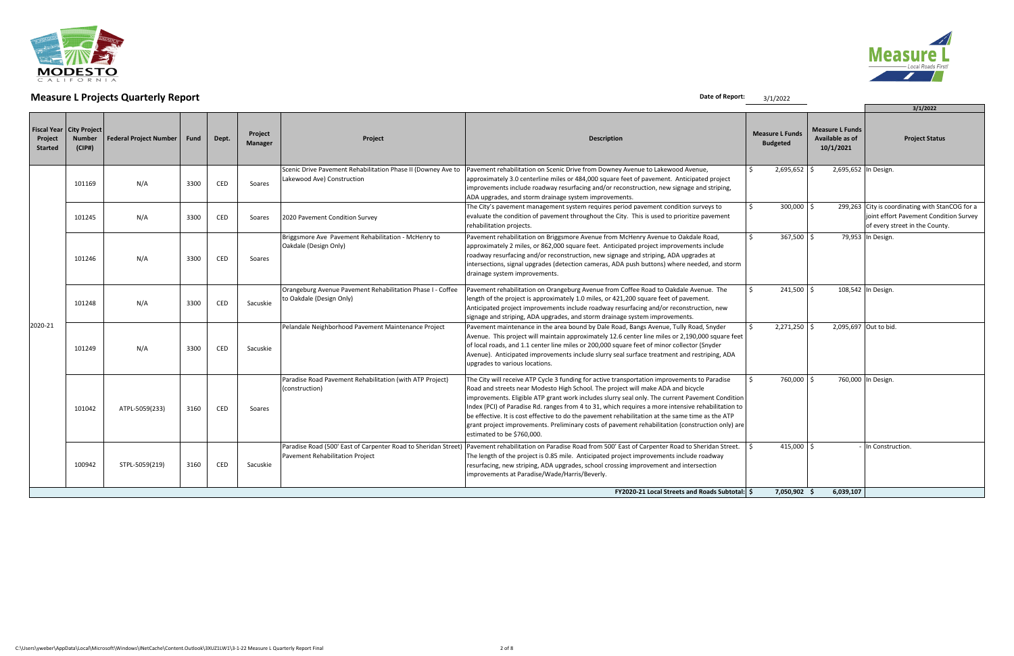

| <b>THE READ CONTROLLER CONTROLLER</b><br>3/1/2022 |                                                |                               |      |            |                           |                                                                                                   |                                                                                                                                                                                                                                                                                                                                                                                                                                                                                                                                                                                                                                 |         |                                           |                                                        |                                                                                                                             |  |
|---------------------------------------------------|------------------------------------------------|-------------------------------|------|------------|---------------------------|---------------------------------------------------------------------------------------------------|---------------------------------------------------------------------------------------------------------------------------------------------------------------------------------------------------------------------------------------------------------------------------------------------------------------------------------------------------------------------------------------------------------------------------------------------------------------------------------------------------------------------------------------------------------------------------------------------------------------------------------|---------|-------------------------------------------|--------------------------------------------------------|-----------------------------------------------------------------------------------------------------------------------------|--|
| <b>Fiscal Year</b><br>Project<br><b>Started</b>   | <b>City Project</b><br><b>Number</b><br>(CIP#) | <b>Federal Project Number</b> | Fund | Dept.      | Project<br><b>Manager</b> | Project                                                                                           | <b>Description</b>                                                                                                                                                                                                                                                                                                                                                                                                                                                                                                                                                                                                              |         | <b>Measure L Funds</b><br><b>Budgeted</b> | <b>Measure L Funds</b><br>Available as of<br>10/1/2021 | 3/1/2022<br><b>Project Status</b>                                                                                           |  |
|                                                   | 101169                                         | N/A                           | 3300 | <b>CED</b> | Soares                    | Scenic Drive Pavement Rehabilitation Phase II (Downey Ave to<br>Lakewood Ave) Construction        | Pavement rehabilitation on Scenic Drive from Downey Avenue to Lakewood Avenue,<br>approximately 3.0 centerline miles or 484,000 square feet of pavement. Anticipated project<br>improvements include roadway resurfacing and/or reconstruction, new signage and striping,<br>ADA upgrades, and storm drainage system improvements.                                                                                                                                                                                                                                                                                              | $\zeta$ | 2,695,652                                 | 2,695,652 In Design.                                   |                                                                                                                             |  |
|                                                   | 101245                                         | N/A                           | 3300 | CED        | Soares                    | 2020 Pavement Condition Survey                                                                    | The City's pavement management system requires period pavement condition surveys to<br>evaluate the condition of pavement throughout the City. This is used to prioritize pavement<br>rehabilitation projects.                                                                                                                                                                                                                                                                                                                                                                                                                  | $\zeta$ | 300,000                                   |                                                        | 299,263 City is coordinating with StanCOG for a<br>joint effort Pavement Condition Survey<br>of every street in the County. |  |
|                                                   | 101246                                         | N/A                           | 3300 | <b>CED</b> | Soares                    | Briggsmore Ave Pavement Rehabilitation - McHenry to<br>Oakdale (Design Only)                      | Pavement rehabilitation on Briggsmore Avenue from McHenry Avenue to Oakdale Road,<br>approximately 2 miles, or 862,000 square feet. Anticipated project improvements include<br>roadway resurfacing and/or reconstruction, new signage and striping, ADA upgrades at<br>intersections, signal upgrades (detection cameras, ADA push buttons) where needed, and storm<br>drainage system improvements.                                                                                                                                                                                                                           | S.      | 367,500                                   |                                                        | 79,953 In Design.                                                                                                           |  |
|                                                   | 101248                                         | N/A                           | 3300 | CED        | Sacuskie                  | Orangeburg Avenue Pavement Rehabilitation Phase I - Coffee<br>to Oakdale (Design Only)            | Pavement rehabilitation on Orangeburg Avenue from Coffee Road to Oakdale Avenue. The<br>length of the project is approximately 1.0 miles, or 421,200 square feet of pavement.<br>Anticipated project improvements include roadway resurfacing and/or reconstruction, new<br>signage and striping, ADA upgrades, and storm drainage system improvements.                                                                                                                                                                                                                                                                         |         | 241,500                                   |                                                        | 108,542 In Design.                                                                                                          |  |
| 2020-21                                           | 101249                                         | N/A                           | 3300 | CED        | Sacuskie                  | Pelandale Neighborhood Pavement Maintenance Project                                               | Pavement maintenance in the area bound by Dale Road, Bangs Avenue, Tully Road, Snyder<br>Avenue. This project will maintain approximately 12.6 center line miles or 2,190,000 square feet<br>of local roads, and 1.1 center line miles or 200,000 square feet of minor collector (Snyder<br>Avenue). Anticipated improvements include slurry seal surface treatment and restriping, ADA<br>upgrades to various locations.                                                                                                                                                                                                       |         | 2,271,250                                 |                                                        | 2,095,697 Out to bid.                                                                                                       |  |
|                                                   | 101042                                         | ATPL-5059(233)                | 3160 | CED        | Soares                    | Paradise Road Pavement Rehabilitation (with ATP Project)<br>(construction)                        | The City will receive ATP Cycle 3 funding for active transportation improvements to Paradise<br>Road and streets near Modesto High School. The project will make ADA and bicycle<br>improvements. Eligible ATP grant work includes slurry seal only. The current Pavement Condition<br>Index (PCI) of Paradise Rd. ranges from 4 to 31, which requires a more intensive rehabilitation to<br>be effective. It is cost effective to do the pavement rehabilitation at the same time as the ATP<br>grant project improvements. Preliminary costs of pavement rehabilitation (construction only) are<br>estimated to be \$760,000. | $\zeta$ | 760,000                                   |                                                        | 760,000 In Design.                                                                                                          |  |
|                                                   | 100942                                         | STPL-5059(219)                | 3160 | CED        | Sacuskie                  | Paradise Road (500' East of Carpenter Road to Sheridan Street)<br>Pavement Rehabilitation Project | Pavement rehabilitation on Paradise Road from 500' East of Carpenter Road to Sheridan Street.<br>The length of the project is 0.85 mile. Anticipated project improvements include roadway<br>resurfacing, new striping, ADA upgrades, school crossing improvement and intersection<br>improvements at Paradise/Wade/Harris/Beverly.                                                                                                                                                                                                                                                                                             |         | 415,000                                   |                                                        | - In Construction.                                                                                                          |  |
|                                                   |                                                |                               |      |            |                           |                                                                                                   | <b>FY2020-21 Local Streets and Roads Subtotal: S</b>                                                                                                                                                                                                                                                                                                                                                                                                                                                                                                                                                                            |         | 7,050,902 \$                              | 6,039,107                                              |                                                                                                                             |  |

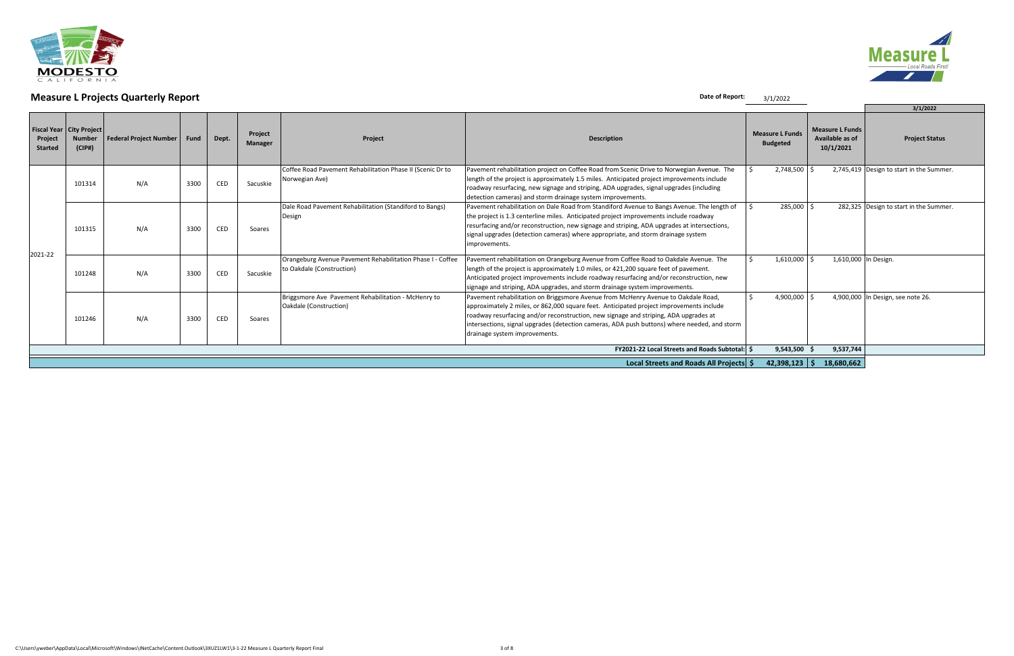

|                           | J / 1 / 2022                                                          |                               |      |       |                           |                                                                                         |                                                                                                                                                                                                                                                                                                                                                                                                       |                                           |           |                                                        |                                          |  |  |
|---------------------------|-----------------------------------------------------------------------|-------------------------------|------|-------|---------------------------|-----------------------------------------------------------------------------------------|-------------------------------------------------------------------------------------------------------------------------------------------------------------------------------------------------------------------------------------------------------------------------------------------------------------------------------------------------------------------------------------------------------|-------------------------------------------|-----------|--------------------------------------------------------|------------------------------------------|--|--|
|                           |                                                                       |                               |      |       |                           |                                                                                         |                                                                                                                                                                                                                                                                                                                                                                                                       |                                           |           |                                                        | 3/1/2022                                 |  |  |
| Project<br><b>Started</b> | Fiscal Year   City Project<br><b>Number</b><br>(CIP#)                 | <b>Federal Project Number</b> | Fund | Dept. | Project<br><b>Manager</b> | Project                                                                                 | <b>Description</b>                                                                                                                                                                                                                                                                                                                                                                                    | <b>Measure L Funds</b><br><b>Budgeted</b> |           | <b>Measure L Funds</b><br>Available as of<br>10/1/2021 | <b>Project Status</b>                    |  |  |
| 2021-22                   | 101314                                                                | N/A                           | 3300 | CED   | Sacuskie                  | Coffee Road Pavement Rehabilitation Phase II (Scenic Dr to<br>Norwegian Ave)            | Pavement rehabilitation project on Coffee Road from Scenic Drive to Norwegian Avenue. The<br>length of the project is approximately 1.5 miles. Anticipated project improvements include<br>roadway resurfacing, new signage and striping, ADA upgrades, signal upgrades (including<br>detection cameras) and storm drainage system improvements.                                                      |                                           | 2,748,500 |                                                        | 2,745,419 Design to start in the Summer. |  |  |
|                           | 101315                                                                | N/A                           | 3300 | CED   | Soares                    | Dale Road Pavement Rehabilitation (Standiford to Bangs)<br>Design                       | Pavement rehabilitation on Dale Road from Standiford Avenue to Bangs Avenue. The length of<br>the project is 1.3 centerline miles. Anticipated project improvements include roadway<br>resurfacing and/or reconstruction, new signage and striping, ADA upgrades at intersections,<br>signal upgrades (detection cameras) where appropriate, and storm drainage system<br>improvements.               |                                           | 285,000   |                                                        | 282,325 Design to start in the Summer.   |  |  |
|                           | 101248                                                                | N/A                           | 3300 | CED   | Sacuskie                  | Orangeburg Avenue Pavement Rehabilitation Phase I - Coffee<br>to Oakdale (Construction) | Pavement rehabilitation on Orangeburg Avenue from Coffee Road to Oakdale Avenue. The<br>length of the project is approximately 1.0 miles, or 421,200 square feet of pavement.<br>Anticipated project improvements include roadway resurfacing and/or reconstruction, new<br>signage and striping, ADA upgrades, and storm drainage system improvements.                                               |                                           | 1,610,000 | 1,610,000 In Design.                                   |                                          |  |  |
|                           | 101246                                                                | N/A                           | 3300 | CED   | Soares                    | Briggsmore Ave Pavement Rehabilitation - McHenry to<br>Oakdale (Construction)           | Pavement rehabilitation on Briggsmore Avenue from McHenry Avenue to Oakdale Road,<br>approximately 2 miles, or 862,000 square feet. Anticipated project improvements include<br>roadway resurfacing and/or reconstruction, new signage and striping, ADA upgrades at<br>intersections, signal upgrades (detection cameras, ADA push buttons) where needed, and storm<br>drainage system improvements. |                                           | 4,900,000 |                                                        | 4,900,000 In Design, see note 26.        |  |  |
|                           |                                                                       |                               |      |       |                           |                                                                                         | <b>FY2021-22 Local Streets and Roads Subtotal: \$</b>                                                                                                                                                                                                                                                                                                                                                 |                                           | 9,543,500 | 9,537,744                                              |                                          |  |  |
|                           | $42,398,123$ \$ 18,680,662<br>Local Streets and Roads All Projects \$ |                               |      |       |                           |                                                                                         |                                                                                                                                                                                                                                                                                                                                                                                                       |                                           |           |                                                        |                                          |  |  |

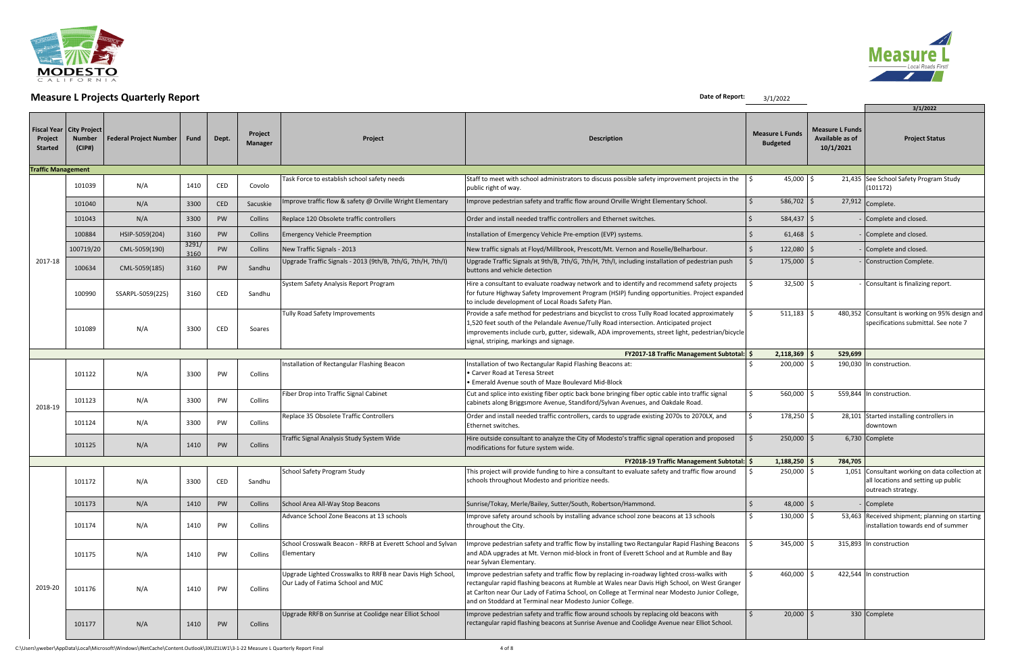

# **Measure L Projects Quarterly Report**  $\frac{3}{1/2022}$

|                           |                                                       | $\ldots$                      |               |           |                    |                                                                                                 |                                                                                                                                                                                                                                                                                                                                                            | $7 + 1 = 0 = 0$                           |                                                        | 3/1/2022                                                                                                    |
|---------------------------|-------------------------------------------------------|-------------------------------|---------------|-----------|--------------------|-------------------------------------------------------------------------------------------------|------------------------------------------------------------------------------------------------------------------------------------------------------------------------------------------------------------------------------------------------------------------------------------------------------------------------------------------------------------|-------------------------------------------|--------------------------------------------------------|-------------------------------------------------------------------------------------------------------------|
| Project<br><b>Started</b> | Fiscal Year   City Project<br><b>Number</b><br>(CIP#) | <b>Federal Project Number</b> | Fund          | Dept.     | Project<br>Manager | Project                                                                                         | <b>Description</b>                                                                                                                                                                                                                                                                                                                                         | <b>Measure L Funds</b><br><b>Budgeted</b> | <b>Measure L Funds</b><br>Available as of<br>10/1/2021 | <b>Project Status</b>                                                                                       |
| <b>Traffic Management</b> |                                                       |                               |               |           |                    |                                                                                                 |                                                                                                                                                                                                                                                                                                                                                            |                                           |                                                        |                                                                                                             |
|                           | 101039                                                | N/A                           | 1410          | CED       | Covolo             | Task Force to establish school safety needs                                                     | Staff to meet with school administrators to discuss possible safety improvement projects in the<br>public right of way.                                                                                                                                                                                                                                    | 45,000 $\mid$ \$                          |                                                        | 21,435 See School Safety Program Study<br>(101172)                                                          |
|                           | 101040                                                | N/A                           | 3300          | CED       | Sacuskie           | mprove traffic flow & safety @ Orville Wright Elementary                                        | Improve pedestrian safety and traffic flow around Orville Wright Elementary School.                                                                                                                                                                                                                                                                        | $586,702$ \$                              |                                                        | $\sqrt{27,912}$ Complete.                                                                                   |
|                           | 101043                                                | N/A                           | 3300          | PW        | Collins            | Replace 120 Obsolete traffic controllers                                                        | Order and install needed traffic controllers and Ethernet switches.                                                                                                                                                                                                                                                                                        | $584,437$ \$                              |                                                        | - Complete and closed.                                                                                      |
|                           | 100884                                                | HSIP-5059(204)                | 3160          | PW        | Collins            | <b>Emergency Vehicle Preemption</b>                                                             | Installation of Emergency Vehicle Pre-emption (EVP) systems.                                                                                                                                                                                                                                                                                               | 61,468                                    |                                                        | - Complete and closed.                                                                                      |
|                           | 100719/20                                             | CML-5059(190)                 | 3291/<br>3160 | PW        | Collins            | New Traffic Signals - 2013                                                                      | New traffic signals at Floyd/Millbrook, Prescott/Mt. Vernon and Roselle/Belharbour.                                                                                                                                                                                                                                                                        | $122,080$ \$                              |                                                        | - Complete and closed.                                                                                      |
| 2017-18                   | 100634                                                | CML-5059(185)                 | 3160          | <b>PW</b> | Sandhu             | Upgrade Traffic Signals - 2013 (9th/B, 7th/G, 7th/H, 7th/I)                                     | Upgrade Traffic Signals at 9th/B, 7th/G, 7th/H, 7th/I, including installation of pedestrian push<br>buttons and vehicle detection                                                                                                                                                                                                                          | $175,000$ \$                              |                                                        | Construction Complete.                                                                                      |
|                           | 100990                                                | SSARPL-5059(225)              | 3160<br>CED   |           | Sandhu             | System Safety Analysis Report Program                                                           | Hire a consultant to evaluate roadway network and to identify and recommend safety projects<br>for future Highway Safety Improvement Program (HSIP) funding opportunities. Project expanded<br>to include development of Local Roads Safety Plan.                                                                                                          | $32,500$   \$                             |                                                        | Consultant is finalizing report.                                                                            |
|                           | 101089                                                | N/A                           | 3300          | CED       | Soares             | Tully Road Safety Improvements                                                                  | Provide a safe method for pedestrians and bicyclist to cross Tully Road located approximately<br>1,520 feet south of the Pelandale Avenue/Tully Road intersection. Anticipated project<br>improvements include curb, gutter, sidewalk, ADA improvements, street light, pedestrian/bicycle<br>signal, striping, markings and signage.                       | $511,183$ \$                              |                                                        | 480,352 Consultant is working on 95% design and<br>specifications submittal. See note 7                     |
|                           |                                                       |                               |               |           |                    |                                                                                                 | <b>FY2017-18 Traffic Management Subtotal: \$</b>                                                                                                                                                                                                                                                                                                           | $2,118,369$ \$                            | 529,699                                                |                                                                                                             |
|                           | 101122                                                | N/A                           | 3300          | PW        | Collins            | Installation of Rectangular Flashing Beacon                                                     | Installation of two Rectangular Rapid Flashing Beacons at:<br>• Carver Road at Teresa Street<br>• Emerald Avenue south of Maze Boulevard Mid-Block                                                                                                                                                                                                         | 200,000 \$                                |                                                        | 190,030 In construction.                                                                                    |
| 2018-19                   | 101123                                                | N/A                           | 3300          | PW        | Collins            | Fiber Drop into Traffic Signal Cabinet                                                          | Cut and splice into existing fiber optic back bone bringing fiber optic cable into traffic signal<br>cabinets along Briggsmore Avenue, Standiford/Sylvan Avenues, and Oakdale Road.                                                                                                                                                                        | 560,000 \$                                |                                                        | 559,844 In construction.                                                                                    |
|                           | 101124                                                | N/A                           | 3300          | PW        | Collins            | Replace 35 Obsolete Traffic Controllers                                                         | Order and install needed traffic controllers, cards to upgrade existing 2070s to 2070LX, and<br>Ethernet switches.                                                                                                                                                                                                                                         | 178,250 \$                                |                                                        | 28,101 Started installing controllers in<br>downtown                                                        |
|                           | 101125                                                | N/A                           | 1410          | PW        | Collins            | Traffic Signal Analysis Study System Wide                                                       | Hire outside consultant to analyze the City of Modesto's traffic signal operation and proposed<br>modifications for future system wide.                                                                                                                                                                                                                    | $250,000$ \$                              |                                                        | 6,730 Complete                                                                                              |
|                           |                                                       |                               |               |           |                    |                                                                                                 | <b>FY2018-19 Traffic Management Subtotal: \$</b>                                                                                                                                                                                                                                                                                                           | $1,188,250$ \$                            | 784,705                                                |                                                                                                             |
|                           | 101172                                                | N/A                           | 3300          | CED       | Sandhu             | School Safety Program Study                                                                     | This project will provide funding to hire a consultant to evaluate safety and traffic flow around<br>schools throughout Modesto and prioritize needs.                                                                                                                                                                                                      | 250,000 \$                                |                                                        | 1,051 Consultant working on data collection at<br>all locations and setting up public<br>outreach strategy. |
|                           | 101173                                                | N/A                           | 1410          | PW        | Collins            | School Area All-Way Stop Beacons                                                                | Sunrise/Tokay, Merle/Bailey, Sutter/South, Robertson/Hammond.                                                                                                                                                                                                                                                                                              | 48,000 $\vert$ \$                         |                                                        | Complete                                                                                                    |
|                           | 101174                                                | N/A                           | 1410          | PW        | Collins            | Advance School Zone Beacons at 13 schools                                                       | Improve safety around schools by installing advance school zone beacons at 13 schools<br>throughout the City.                                                                                                                                                                                                                                              | 130,000 \$                                |                                                        | 53,463 Received shipment; planning on starting<br>installation towards end of summer                        |
|                           | 101175                                                | N/A                           | 1410          | PW        | Collins            | School Crosswalk Beacon - RRFB at Everett School and Sylvan<br>Elementary                       | Improve pedestrian safety and traffic flow by installing two Rectangular Rapid Flashing Beacons<br>and ADA upgrades at Mt. Vernon mid-block in front of Everett School and at Rumble and Bay<br>near Sylvan Elementary.                                                                                                                                    | 345,000 \$                                |                                                        | 315,893 In construction                                                                                     |
| 2019-20                   | 101176                                                | N/A                           | 1410          | PW        | Collins            | Upgrade Lighted Crosswalks to RRFB near Davis High School,<br>Our Lady of Fatima School and MJC | Improve pedestrian safety and traffic flow by replacing in-roadway lighted cross-walks with<br>rectangular rapid flashing beacons at Rumble at Wales near Davis High School, on West Granger<br>at Carlton near Our Lady of Fatima School, on College at Terminal near Modesto Junior College,<br>and on Stoddard at Terminal near Modesto Junior College. | 460,000 \$                                |                                                        | 422,544 In construction                                                                                     |
|                           | 101177                                                | N/A                           | 1410          | PW        | Collins            | Upgrade RRFB on Sunrise at Coolidge near Elliot School                                          | Improve pedestrian safety and traffic flow around schools by replacing old beacons with<br>rectangular rapid flashing beacons at Sunrise Avenue and Coolidge Avenue near Elliot School.                                                                                                                                                                    | $20,000$ \$                               |                                                        | 330 Complete                                                                                                |

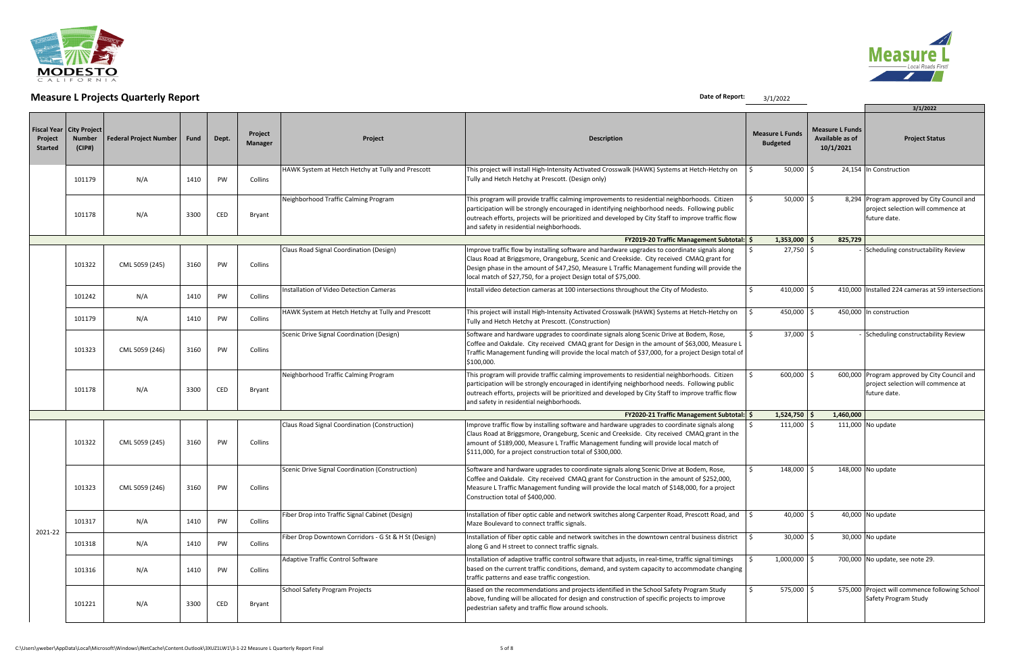

# **Measure L Projects Quarterly Report** 3/1/2022

|                                                 |                                                |                               |      |           |                           |                                                      |                                                                                                                                                                                                                                                                                                                                                                |                                           |                |                                                        | 3/1/2022                                                                                           |  |
|-------------------------------------------------|------------------------------------------------|-------------------------------|------|-----------|---------------------------|------------------------------------------------------|----------------------------------------------------------------------------------------------------------------------------------------------------------------------------------------------------------------------------------------------------------------------------------------------------------------------------------------------------------------|-------------------------------------------|----------------|--------------------------------------------------------|----------------------------------------------------------------------------------------------------|--|
| <b>Fiscal Year</b><br>Project<br><b>Started</b> | <b>City Project</b><br><b>Number</b><br>(CIP#) | <b>Federal Project Number</b> | Fund | Dept.     | Project<br><b>Manager</b> | Project                                              | <b>Description</b>                                                                                                                                                                                                                                                                                                                                             | <b>Measure L Funds</b><br><b>Budgeted</b> |                | <b>Measure L Funds</b><br>Available as of<br>10/1/2021 | <b>Project Status</b>                                                                              |  |
|                                                 | 101179                                         | N/A                           | 1410 | PW        | Collins                   | HAWK System at Hetch Hetchy at Tully and Prescott    | This project will install High-Intensity Activated Crosswalk (HAWK) Systems at Hetch-Hetchy on<br>Tully and Hetch Hetchy at Prescott. (Design only)                                                                                                                                                                                                            |                                           | $50,000$ \$    |                                                        | 24,154 In Construction                                                                             |  |
|                                                 | 101178                                         | N/A                           | 3300 | CED       | Bryant                    | Neighborhood Traffic Calming Program                 | This program will provide traffic calming improvements to residential neighborhoods. Citizen<br>participation will be strongly encouraged in identifying neighborhood needs. Following public<br>outreach efforts, projects will be prioritized and developed by City Staff to improve traffic flow<br>and safety in residential neighborhoods.                |                                           | $50,000$ \$    |                                                        | 8,294 Program approved by City Council and<br>project selection will commence at<br>future date.   |  |
|                                                 |                                                |                               |      |           |                           |                                                      | <b>FY2019-20 Traffic Management Subtotal: \$</b>                                                                                                                                                                                                                                                                                                               |                                           | $1,353,000$ \$ | 825,729                                                |                                                                                                    |  |
|                                                 | 101322                                         | CML 5059 (245)                | 3160 | PW        | Collins                   | Claus Road Signal Coordination (Design)              | Improve traffic flow by installing software and hardware upgrades to coordinate signals along<br>Claus Road at Briggsmore, Orangeburg, Scenic and Creekside. City received CMAQ grant for<br>Design phase in the amount of \$47,250, Measure L Traffic Management funding will provide the<br>local match of \$27,750, for a project Design total of \$75,000. |                                           | $27,750$ \$    |                                                        | - Scheduling constructability Review                                                               |  |
|                                                 | 101242                                         | N/A                           | 1410 | PW        | Collins                   | Installation of Video Detection Cameras              | Install video detection cameras at 100 intersections throughout the City of Modesto.                                                                                                                                                                                                                                                                           |                                           | 410,000 \$     |                                                        | 410,000 Installed 224 cameras at 59 intersections                                                  |  |
|                                                 | 101179                                         | N/A                           | 1410 | PW        | Collins                   | HAWK System at Hetch Hetchy at Tully and Prescott    | This project will install High-Intensity Activated Crosswalk (HAWK) Systems at Hetch-Hetchy on<br>Tully and Hetch Hetchy at Prescott. (Construction)                                                                                                                                                                                                           |                                           | 450,000        |                                                        | 450,000 In construction                                                                            |  |
|                                                 | 101323                                         | CML 5059 (246)                | 3160 | <b>PW</b> | Collins                   | Scenic Drive Signal Coordination (Design)            | Software and hardware upgrades to coordinate signals along Scenic Drive at Bodem, Rose,<br>Coffee and Oakdale. City received CMAQ grant for Design in the amount of \$63,000, Measure L<br>Traffic Management funding will provide the local match of \$37,000, for a project Design total of<br>\$100,000.                                                    |                                           | $37,000$ :     | - Scheduling constructability Review                   |                                                                                                    |  |
|                                                 | 101178                                         | N/A                           | 3300 | CED       | Bryant                    | Neighborhood Traffic Calming Program                 | This program will provide traffic calming improvements to residential neighborhoods. Citizen<br>participation will be strongly encouraged in identifying neighborhood needs. Following public<br>outreach efforts, projects will be prioritized and developed by City Staff to improve traffic flow<br>and safety in residential neighborhoods.                |                                           | $600,000$ \$   |                                                        | 600,000 Program approved by City Council and<br>project selection will commence at<br>future date. |  |
|                                                 |                                                |                               |      |           |                           |                                                      | <b>FY2020-21 Traffic Management Subtotal: \$</b>                                                                                                                                                                                                                                                                                                               |                                           | $1,524,750$ \$ | 1,460,000                                              |                                                                                                    |  |
|                                                 | 101322                                         | CML 5059 (245)                | 3160 | PW        | Collins                   | Claus Road Signal Coordination (Construction)        | Improve traffic flow by installing software and hardware upgrades to coordinate signals along<br>Claus Road at Briggsmore, Orangeburg, Scenic and Creekside. City received CMAQ grant in the<br>amount of \$189,000, Measure L Traffic Management funding will provide local match of<br>\$111,000, for a project construction total of \$300,000.             |                                           | $111,000$ \$   |                                                        | 111,000 No update                                                                                  |  |
|                                                 | 101323                                         | CML 5059 (246)                | 3160 | PW        | Collins                   | Scenic Drive Signal Coordination (Construction)      | Software and hardware upgrades to coordinate signals along Scenic Drive at Bodem, Rose,<br>Coffee and Oakdale. City received CMAQ grant for Construction in the amount of \$252,000,<br>Measure L Traffic Management funding will provide the local match of \$148,000, for a project<br>Construction total of \$400,000.                                      |                                           | $148,000$ \$   |                                                        | 148,000 No update                                                                                  |  |
|                                                 | 101317                                         | N/A                           | 1410 | PW        | Collins                   | Fiber Drop into Traffic Signal Cabinet (Design)      | Installation of fiber optic cable and network switches along Carpenter Road, Prescott Road, and<br>Maze Boulevard to connect traffic signals.                                                                                                                                                                                                                  |                                           | $40,000$ \$    |                                                        | 40,000 No update                                                                                   |  |
| 2021-22                                         | 101318                                         | N/A                           | 1410 | PW        | Collins                   | Fiber Drop Downtown Corridors - G St & H St (Design) | Installation of fiber optic cable and network switches in the downtown central business district<br>along G and H street to connect traffic signals.                                                                                                                                                                                                           |                                           | $30,000$ \$    | 30,000 No update                                       |                                                                                                    |  |
|                                                 | 101316                                         | N/A                           | 1410 | PW        | Collins                   | Adaptive Traffic Control Software                    | Installation of adaptive traffic control software that adjusts, in real-time, traffic signal timings<br>based on the current traffic conditions, demand, and system capacity to accommodate changing<br>traffic patterns and ease traffic congestion.                                                                                                          |                                           | $1,000,000$ \$ | 700,000 No update, see note 29.                        |                                                                                                    |  |
|                                                 | 101221                                         | N/A                           | 3300 | CED       | Bryant                    | School Safety Program Projects                       | Based on the recommendations and projects identified in the School Safety Program Study<br>above, funding will be allocated for design and construction of specific projects to improve<br>pedestrian safety and traffic flow around schools.                                                                                                                  |                                           | 575,000 \$     |                                                        | 575,000 Project will commence following School<br>Safety Program Study                             |  |

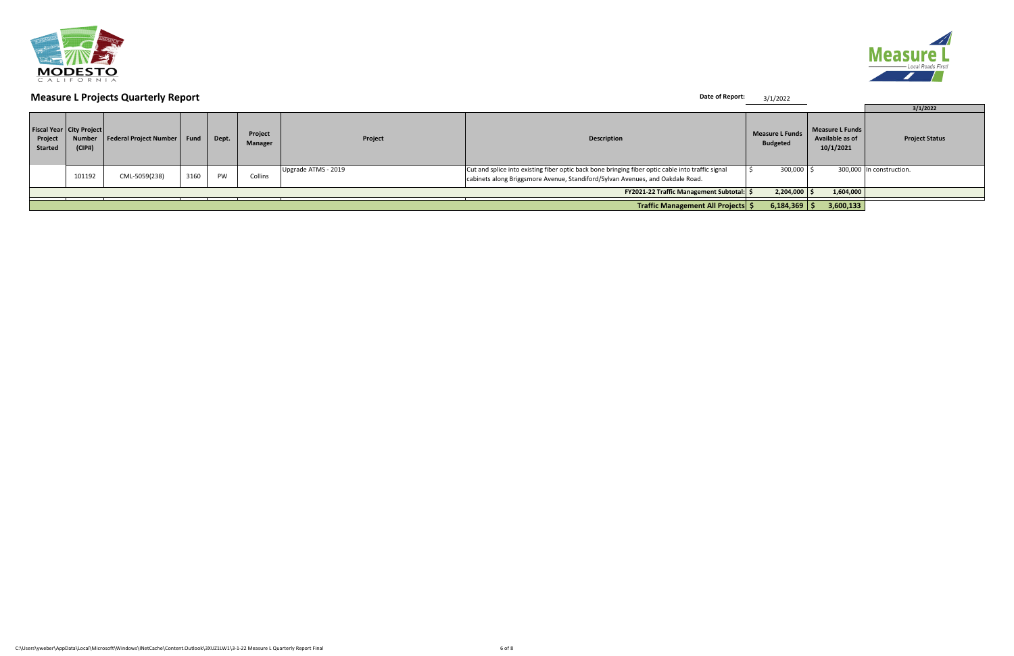

|                           |                                                     | <b>Measure L Projects Quarterly Report</b> |      |       |                    |                     | Date of Report:                                                                                                                                                                     | 3/1/2022                                  |                                                 |                          |
|---------------------------|-----------------------------------------------------|--------------------------------------------|------|-------|--------------------|---------------------|-------------------------------------------------------------------------------------------------------------------------------------------------------------------------------------|-------------------------------------------|-------------------------------------------------|--------------------------|
|                           |                                                     |                                            |      |       |                    |                     |                                                                                                                                                                                     |                                           |                                                 | 3/1/2022                 |
| Project<br><b>Started</b> | Fiscal Year City Project<br><b>Number</b><br>(CIP#) | Federal Project Number   Fund              |      | Dept. | Project<br>Manager | Project             | <b>Description</b>                                                                                                                                                                  | <b>Measure L Funds</b><br><b>Budgeted</b> | Measure L Funds<br>Available as of<br>10/1/2021 | <b>Project Status</b>    |
|                           | 101192                                              | CML-5059(238)                              | 3160 | PW    | Collins            | Upgrade ATMS - 2019 | Cut and splice into existing fiber optic back bone bringing fiber optic cable into traffic signal<br>cabinets along Briggsmore Avenue, Standiford/Sylvan Avenues, and Oakdale Road. | $300,000$ $\mid$ :                        |                                                 | 300,000 In construction. |
|                           |                                                     |                                            |      |       |                    |                     | FY2021-22 Traffic Management Subtotal: \$                                                                                                                                           | 2,204,000                                 | 1,604,000                                       |                          |
|                           |                                                     |                                            |      |       |                    |                     | Traffic Management All Projects \$                                                                                                                                                  | $6,184,369$ \$                            | 3,600,133                                       |                          |

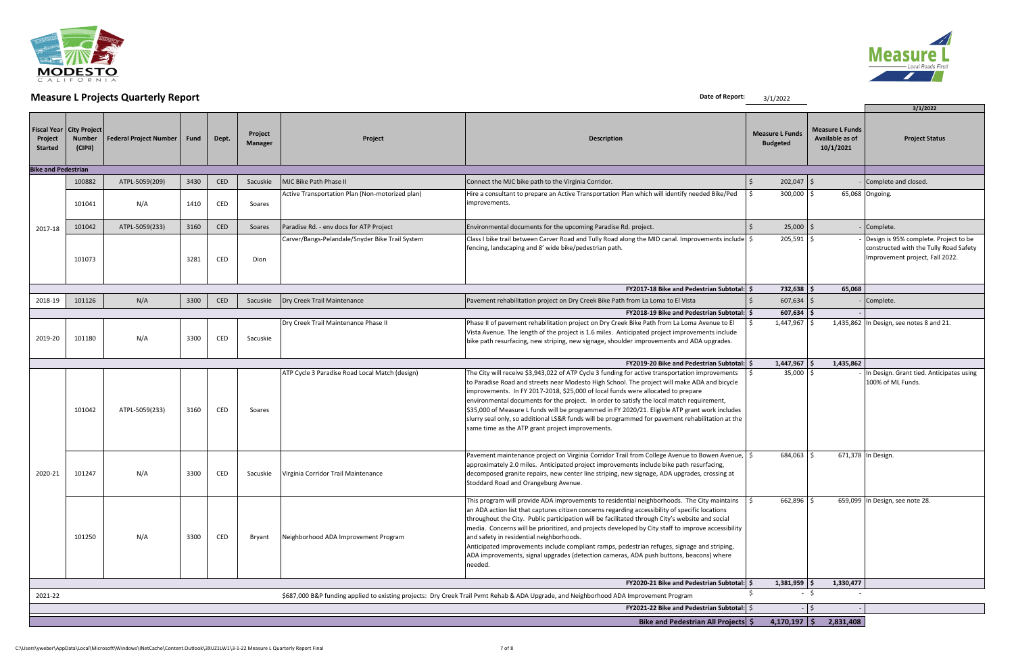

|                            |                                                       | <b>THE READ CONTROLLER CONTROLLER</b> |      |       |                           |                                                 |                                                                                                                                                                                                                                                                                                                                                                                                                                                                                                                                                                                                                                                         | <b>3/1/2022</b>                           |                                                        |                                                                                                                    |
|----------------------------|-------------------------------------------------------|---------------------------------------|------|-------|---------------------------|-------------------------------------------------|---------------------------------------------------------------------------------------------------------------------------------------------------------------------------------------------------------------------------------------------------------------------------------------------------------------------------------------------------------------------------------------------------------------------------------------------------------------------------------------------------------------------------------------------------------------------------------------------------------------------------------------------------------|-------------------------------------------|--------------------------------------------------------|--------------------------------------------------------------------------------------------------------------------|
| Project<br><b>Started</b>  | Fiscal Year   City Project<br><b>Number</b><br>(CIP#) | <b>Federal Project Number</b>         | Fund | Dept. | Project<br><b>Manager</b> | Project                                         | <b>Description</b>                                                                                                                                                                                                                                                                                                                                                                                                                                                                                                                                                                                                                                      | <b>Measure L Funds</b><br><b>Budgeted</b> | <b>Measure L Funds</b><br>Available as of<br>10/1/2021 | 3/1/2022<br><b>Project Status</b>                                                                                  |
| <b>Bike and Pedestrian</b> |                                                       |                                       |      |       |                           |                                                 |                                                                                                                                                                                                                                                                                                                                                                                                                                                                                                                                                                                                                                                         |                                           |                                                        |                                                                                                                    |
|                            | 100882                                                | ATPL-5059(209)                        | 3430 | CED   | Sacuskie                  | MJC Bike Path Phase II                          | Connect the MJC bike path to the Virginia Corridor.                                                                                                                                                                                                                                                                                                                                                                                                                                                                                                                                                                                                     | $202,047$ \$                              |                                                        | - Complete and closed.                                                                                             |
|                            | 101041                                                | N/A                                   | 1410 | CED   | Soares                    | Active Transportation Plan (Non-motorized plan) | Hire a consultant to prepare an Active Transportation Plan which will identify needed Bike/Ped<br>improvements.                                                                                                                                                                                                                                                                                                                                                                                                                                                                                                                                         | 300,000 \$                                |                                                        | 65,068 Ongoing.                                                                                                    |
| 2017-18                    | 101042                                                | ATPL-5059(233)                        | 3160 | CED   | Soares                    | Paradise Rd. - env docs for ATP Project         | Environmental documents for the upcoming Paradise Rd. project.                                                                                                                                                                                                                                                                                                                                                                                                                                                                                                                                                                                          | $25,000$ \$                               |                                                        | - Complete.                                                                                                        |
|                            | 101073                                                |                                       | 3281 | CED   | Dion                      | Carver/Bangs-Pelandale/Snyder Bike Trail System | Class I bike trail between Carver Road and Tully Road along the MID canal. Improvements include $\frac{1}{5}$<br>fencing, landscaping and 8' wide bike/pedestrian path.                                                                                                                                                                                                                                                                                                                                                                                                                                                                                 | 205,591 \$                                |                                                        | Design is 95% complete. Project to be<br>constructed with the Tully Road Safety<br>Improvement project, Fall 2022. |
|                            |                                                       |                                       |      |       |                           |                                                 | <b>FY2017-18 Bike and Pedestrian Subtotal: \$</b>                                                                                                                                                                                                                                                                                                                                                                                                                                                                                                                                                                                                       | $732,638$ \$                              | 65,068                                                 |                                                                                                                    |
| 2018-19                    | 101126                                                | N/A                                   | 3300 | CED   | Sacuskie                  | Dry Creek Trail Maintenance                     | Pavement rehabilitation project on Dry Creek Bike Path from La Loma to El Vista                                                                                                                                                                                                                                                                                                                                                                                                                                                                                                                                                                         | $607,634$ \$                              |                                                        | - Complete.                                                                                                        |
|                            |                                                       |                                       |      |       |                           |                                                 | <b>FY2018-19 Bike and Pedestrian Subtotal: S</b>                                                                                                                                                                                                                                                                                                                                                                                                                                                                                                                                                                                                        | $607,634$ \$                              |                                                        |                                                                                                                    |
| 2019-20                    | 101180                                                | N/A                                   | 3300 | CED   | Sacuskie                  | Dry Creek Trail Maintenance Phase II            | Phase II of pavement rehabilitation project on Dry Creek Bike Path from La Loma Avenue to El<br>Vista Avenue. The length of the project is 1.6 miles. Anticipated project improvements include<br>bike path resurfacing, new striping, new signage, shoulder improvements and ADA upgrades.                                                                                                                                                                                                                                                                                                                                                             | 1,447,967                                 |                                                        | 1,435,862 In Design, see notes 8 and 21.                                                                           |
|                            |                                                       |                                       |      |       |                           |                                                 | <b>FY2019-20 Bike and Pedestrian Subtotal: \$</b>                                                                                                                                                                                                                                                                                                                                                                                                                                                                                                                                                                                                       | $1,447,967$ \$                            | 1,435,862                                              |                                                                                                                    |
|                            | 101042                                                | ATPL-5059(233)                        | 3160 | CED   | Soares                    | ATP Cycle 3 Paradise Road Local Match (design)  | The City will receive \$3,943,022 of ATP Cycle 3 funding for active transportation improvements<br>to Paradise Road and streets near Modesto High School. The project will make ADA and bicycle<br>improvements. In FY 2017-2018, \$25,000 of local funds were allocated to prepare<br>environmental documents for the project. In order to satisfy the local match requirement,<br>\$35,000 of Measure L funds will be programmed in FY 2020/21. Eligible ATP grant work includes<br>slurry seal only, so additional LS&R funds will be programmed for pavement rehabilitation at the<br>same time as the ATP grant project improvements.              | $35,000$   \$                             |                                                        | In Design. Grant tied. Anticipates using<br>100% of ML Funds.                                                      |
| 2020-21                    | 101247                                                | N/A                                   | 3300 | CED   | Sacuskie                  | Virginia Corridor Trail Maintenance             | Pavement maintenance project on Virginia Corridor Trail from College Avenue to Bowen Avenue,<br>approximately 2.0 miles. Anticipated project improvements include bike path resurfacing,<br>decomposed granite repairs, new center line striping, new signage, ADA upgrades, crossing at<br>Stoddard Road and Orangeburg Avenue.                                                                                                                                                                                                                                                                                                                        | 684,063 \$                                |                                                        | 671,378 In Design                                                                                                  |
|                            | 101250                                                | N/A                                   | 3300 | CED   | Bryant                    | Neighborhood ADA Improvement Program            | This program will provide ADA improvements to residential neighborhoods. The City maintains<br>an ADA action list that captures citizen concerns regarding accessibility of specific locations<br>throughout the City. Public participation will be facilitated through City's website and social<br>media. Concerns will be prioritized, and projects developed by City staff to improve accessibility<br>and safety in residential neighborhoods.<br>Anticipated improvements include compliant ramps, pedestrian refuges, signage and striping,<br>ADA improvements, signal upgrades (detection cameras, ADA push buttons, beacons) where<br>needed. | $662,896$ \$                              |                                                        | 659,099 In Design, see note 28.                                                                                    |
|                            |                                                       |                                       |      |       |                           |                                                 | FY2020-21 Bike and Pedestrian Subtotal: \$                                                                                                                                                                                                                                                                                                                                                                                                                                                                                                                                                                                                              | $1,381,959$ \$                            | 1,330,477                                              |                                                                                                                    |
| 2021-22                    |                                                       |                                       |      |       |                           |                                                 | \$687,000 B&P funding applied to existing projects: Dry Creek Trail Pvmt Rehab & ADA Upgrade, and Neighborhood ADA Improvement Program                                                                                                                                                                                                                                                                                                                                                                                                                                                                                                                  |                                           | - \$                                                   |                                                                                                                    |
|                            |                                                       |                                       |      |       |                           |                                                 | FY2021-22 Bike and Pedestrian Subtotal: \$                                                                                                                                                                                                                                                                                                                                                                                                                                                                                                                                                                                                              |                                           | $-$   \$                                               |                                                                                                                    |
|                            |                                                       |                                       |      |       |                           |                                                 | Bike and Pedestrian All Projects \$                                                                                                                                                                                                                                                                                                                                                                                                                                                                                                                                                                                                                     | $4,170,197$ \$                            | 2,831,408                                              |                                                                                                                    |